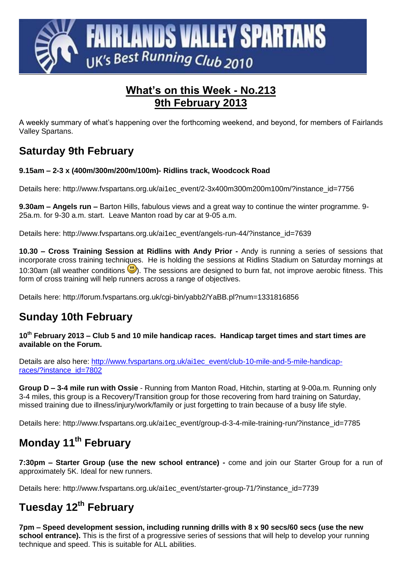

### **What's on this Week - No.213 9th February 2013**

A weekly summary of what's happening over the forthcoming weekend, and beyond, for members of Fairlands Valley Spartans.

## **Saturday 9th February**

#### **9.15am – 2-3 x (400m/300m/200m/100m)- Ridlins track, Woodcock Road**

Details here: http://www.fvspartans.org.uk/ai1ec\_event/2-3x400m300m200m100m/?instance\_id=7756

**9.30am – Angels run –** Barton Hills, fabulous views and a great way to continue the winter programme. 9- 25a.m. for 9-30 a.m. start. Leave Manton road by car at 9-05 a.m.

Details here: http://www.fvspartans.org.uk/ai1ec\_event/angels-run-44/?instance\_id=7639

**10.30 – Cross Training Session at Ridlins with Andy Prior -** Andy is running a series of sessions that incorporate cross training techniques. He is holding the sessions at Ridlins Stadium on Saturday mornings at 10:30am (all weather conditions  $\bigcup$ ). The sessions are designed to burn fat, not improve aerobic fitness. This form of cross training will help runners across a range of objectives.

Details here:<http://forum.fvspartans.org.uk/cgi-bin/yabb2/YaBB.pl?num=1331816856>

### **Sunday 10th February**

**10th February 2013 – Club 5 and 10 mile handicap races. Handicap target times and start times are available on the Forum.**

Details are also here: [http://www.fvspartans.org.uk/ai1ec\\_event/club-10-mile-and-5-mile-handicap](http://www.fvspartans.org.uk/ai1ec_event/club-10-mile-and-5-mile-handicap-races/?instance_id=7802)[races/?instance\\_id=7802](http://www.fvspartans.org.uk/ai1ec_event/club-10-mile-and-5-mile-handicap-races/?instance_id=7802)

**Group D – 3-4 mile run with Ossie** - Running from Manton Road, Hitchin, starting at 9-00a.m. Running only 3-4 miles, this group is a Recovery/Transition group for those recovering from hard training on Saturday, missed training due to illness/injury/work/family or just forgetting to train because of a busy life style.

Details here: http://www.fvspartans.org.uk/ai1ec\_event/group-d-3-4-mile-training-run/?instance\_id=7785

# **Monday 11th February**

**7:30pm – Starter Group (use the new school entrance) -** come and join our Starter Group for a run of approximately 5K. Ideal for new runners.

Details here: http://www.fvspartans.org.uk/ai1ec\_event/starter-group-71/?instance\_id=7739

## **Tuesday 12th February**

**7pm – Speed development session, including running drills with 8 x 90 secs/60 secs (use the new school entrance).** This is the first of a progressive series of sessions that will help to develop your running technique and speed. This is suitable for ALL abilities.